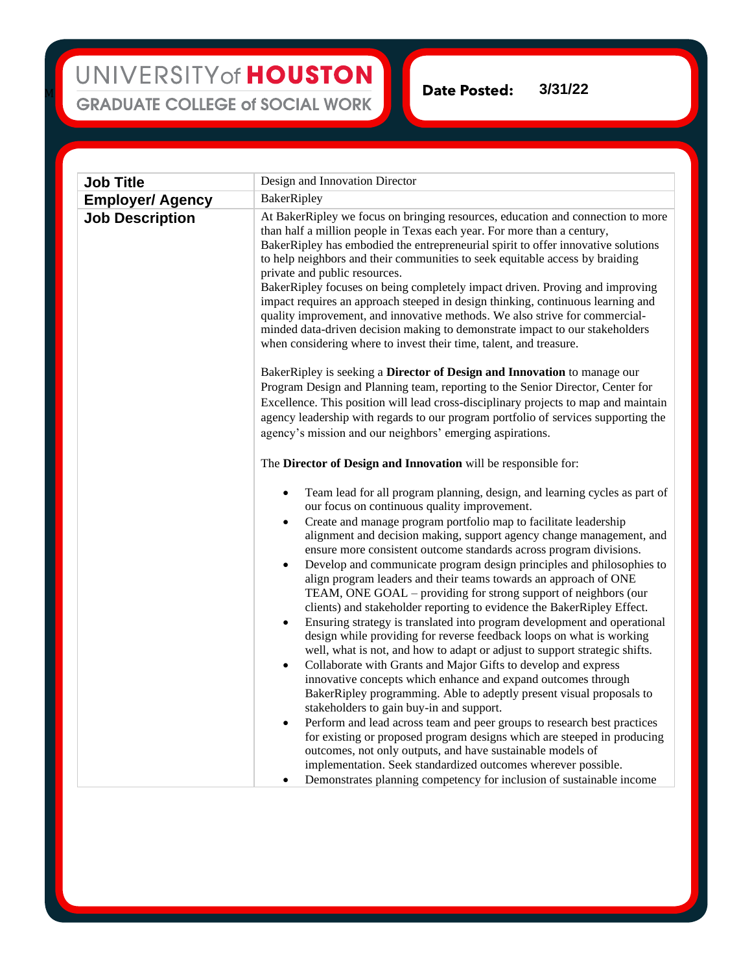## UNIVERSITY of HOUSTON **GRADUATE COLLEGE of SOCIAL WORK**

M

**Date Posted: 3/31/22**

| <b>Job Title</b>        | Design and Innovation Director                                                                                                                                                                                                                                                                                                                                                                                                                                                                                                                                                                                                                                                                                                                                                                                                                                                                                                                                                                                                                                                                                                                                                                                                                                                                                                                                                                                                                                                                                                                                             |
|-------------------------|----------------------------------------------------------------------------------------------------------------------------------------------------------------------------------------------------------------------------------------------------------------------------------------------------------------------------------------------------------------------------------------------------------------------------------------------------------------------------------------------------------------------------------------------------------------------------------------------------------------------------------------------------------------------------------------------------------------------------------------------------------------------------------------------------------------------------------------------------------------------------------------------------------------------------------------------------------------------------------------------------------------------------------------------------------------------------------------------------------------------------------------------------------------------------------------------------------------------------------------------------------------------------------------------------------------------------------------------------------------------------------------------------------------------------------------------------------------------------------------------------------------------------------------------------------------------------|
| <b>Employer/ Agency</b> | BakerRipley                                                                                                                                                                                                                                                                                                                                                                                                                                                                                                                                                                                                                                                                                                                                                                                                                                                                                                                                                                                                                                                                                                                                                                                                                                                                                                                                                                                                                                                                                                                                                                |
| <b>Job Description</b>  | At BakerRipley we focus on bringing resources, education and connection to more<br>than half a million people in Texas each year. For more than a century,<br>BakerRipley has embodied the entrepreneurial spirit to offer innovative solutions<br>to help neighbors and their communities to seek equitable access by braiding<br>private and public resources.<br>BakerRipley focuses on being completely impact driven. Proving and improving<br>impact requires an approach steeped in design thinking, continuous learning and<br>quality improvement, and innovative methods. We also strive for commercial-<br>minded data-driven decision making to demonstrate impact to our stakeholders<br>when considering where to invest their time, talent, and treasure.                                                                                                                                                                                                                                                                                                                                                                                                                                                                                                                                                                                                                                                                                                                                                                                                   |
|                         | BakerRipley is seeking a Director of Design and Innovation to manage our<br>Program Design and Planning team, reporting to the Senior Director, Center for<br>Excellence. This position will lead cross-disciplinary projects to map and maintain<br>agency leadership with regards to our program portfolio of services supporting the<br>agency's mission and our neighbors' emerging aspirations.                                                                                                                                                                                                                                                                                                                                                                                                                                                                                                                                                                                                                                                                                                                                                                                                                                                                                                                                                                                                                                                                                                                                                                       |
|                         | The Director of Design and Innovation will be responsible for:                                                                                                                                                                                                                                                                                                                                                                                                                                                                                                                                                                                                                                                                                                                                                                                                                                                                                                                                                                                                                                                                                                                                                                                                                                                                                                                                                                                                                                                                                                             |
|                         | Team lead for all program planning, design, and learning cycles as part of<br>$\bullet$<br>our focus on continuous quality improvement.<br>Create and manage program portfolio map to facilitate leadership<br>$\bullet$<br>alignment and decision making, support agency change management, and<br>ensure more consistent outcome standards across program divisions.<br>Develop and communicate program design principles and philosophies to<br>$\bullet$<br>align program leaders and their teams towards an approach of ONE<br>TEAM, ONE GOAL - providing for strong support of neighbors (our<br>clients) and stakeholder reporting to evidence the BakerRipley Effect.<br>Ensuring strategy is translated into program development and operational<br>$\bullet$<br>design while providing for reverse feedback loops on what is working<br>well, what is not, and how to adapt or adjust to support strategic shifts.<br>Collaborate with Grants and Major Gifts to develop and express<br>$\bullet$<br>innovative concepts which enhance and expand outcomes through<br>BakerRipley programming. Able to adeptly present visual proposals to<br>stakeholders to gain buy-in and support.<br>Perform and lead across team and peer groups to research best practices<br>$\bullet$<br>for existing or proposed program designs which are steeped in producing<br>outcomes, not only outputs, and have sustainable models of<br>implementation. Seek standardized outcomes wherever possible.<br>Demonstrates planning competency for inclusion of sustainable income |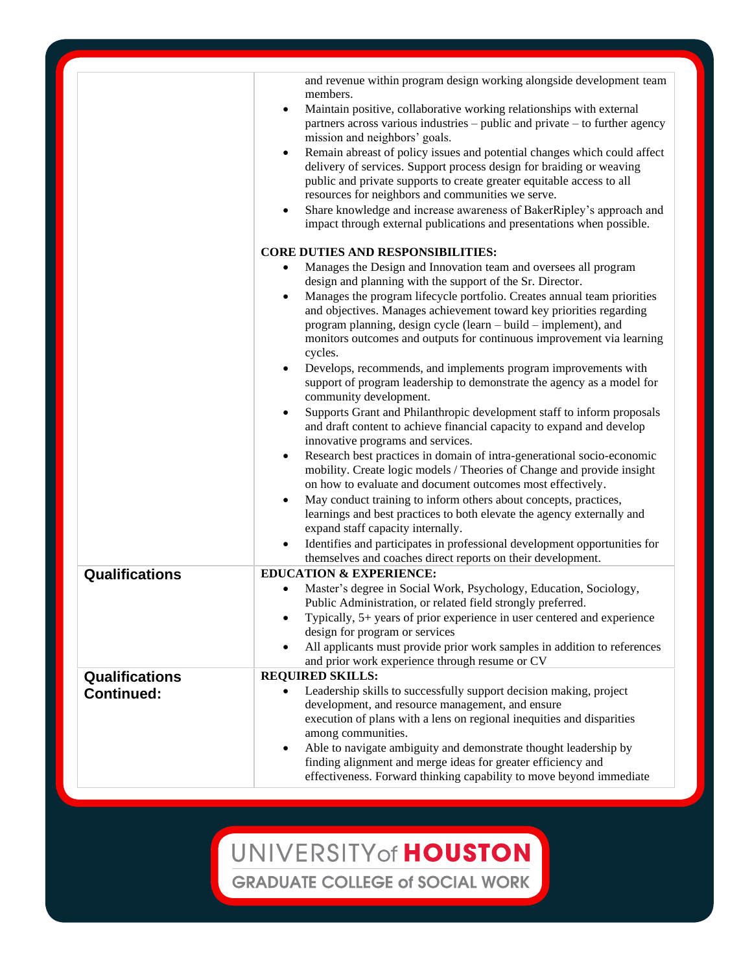|                       | and revenue within program design working alongside development team<br>members.                                                                                                                                                                                                                      |
|-----------------------|-------------------------------------------------------------------------------------------------------------------------------------------------------------------------------------------------------------------------------------------------------------------------------------------------------|
|                       | Maintain positive, collaborative working relationships with external<br>$\bullet$<br>partners across various industries – public and private – to further agency<br>mission and neighbors' goals.                                                                                                     |
|                       | Remain abreast of policy issues and potential changes which could affect<br>delivery of services. Support process design for braiding or weaving<br>public and private supports to create greater equitable access to all<br>resources for neighbors and communities we serve.                        |
|                       | Share knowledge and increase awareness of BakerRipley's approach and<br>impact through external publications and presentations when possible.                                                                                                                                                         |
|                       | <b>CORE DUTIES AND RESPONSIBILITIES:</b>                                                                                                                                                                                                                                                              |
|                       | Manages the Design and Innovation team and oversees all program                                                                                                                                                                                                                                       |
|                       | design and planning with the support of the Sr. Director.                                                                                                                                                                                                                                             |
|                       | Manages the program lifecycle portfolio. Creates annual team priorities<br>and objectives. Manages achievement toward key priorities regarding<br>program planning, design cycle (learn – build – implement), and<br>monitors outcomes and outputs for continuous improvement via learning<br>cycles. |
|                       | Develops, recommends, and implements program improvements with<br>support of program leadership to demonstrate the agency as a model for<br>community development.                                                                                                                                    |
|                       | Supports Grant and Philanthropic development staff to inform proposals<br>and draft content to achieve financial capacity to expand and develop<br>innovative programs and services.                                                                                                                  |
|                       | Research best practices in domain of intra-generational socio-economic<br>mobility. Create logic models / Theories of Change and provide insight<br>on how to evaluate and document outcomes most effectively.                                                                                        |
|                       | May conduct training to inform others about concepts, practices,<br>learnings and best practices to both elevate the agency externally and<br>expand staff capacity internally.                                                                                                                       |
|                       | Identifies and participates in professional development opportunities for<br>themselves and coaches direct reports on their development.                                                                                                                                                              |
| Qualifications        | <b>EDUCATION &amp; EXPERIENCE:</b>                                                                                                                                                                                                                                                                    |
|                       | Master's degree in Social Work, Psychology, Education, Sociology,<br>Public Administration, or related field strongly preferred.                                                                                                                                                                      |
|                       | Typically, 5+ years of prior experience in user centered and experience<br>design for program or services                                                                                                                                                                                             |
|                       | All applicants must provide prior work samples in addition to references                                                                                                                                                                                                                              |
| <b>Qualifications</b> | and prior work experience through resume or CV<br><b>REQUIRED SKILLS:</b>                                                                                                                                                                                                                             |
| <b>Continued:</b>     | Leadership skills to successfully support decision making, project<br>development, and resource management, and ensure<br>execution of plans with a lens on regional inequities and disparities                                                                                                       |
|                       | among communities.<br>Able to navigate ambiguity and demonstrate thought leadership by<br>finding alignment and merge ideas for greater efficiency and<br>effectiveness. Forward thinking capability to move beyond immediate                                                                         |

UNIVERSITY of HOUSTON

**GRADUATE COLLEGE of SOCIAL WORK**